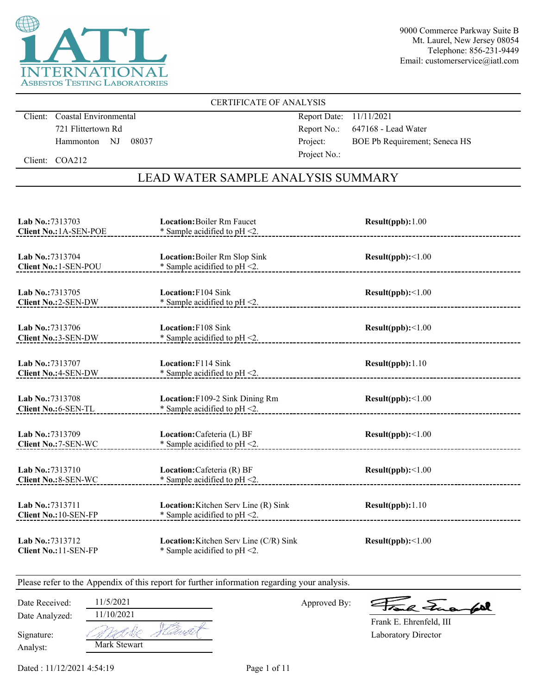

### CERTIFICATE OF ANALYSIS

Client: Coastal Environmental 721 Flittertown Rd Hammonton NJ 08037 Report Date: 11/11/2021 Report No.: 647168 - Lead Water Project: BOE Pb Requirement; Seneca HS Project No.:

Client: COA212

## LEAD WATER SAMPLE ANALYSIS SUMMARY

| Lab No.:7313703<br><b>Client No.: 1A-SEN-POE</b> | <b>Location:</b> Boiler Rm Faucet<br>* Sample acidified to $pH < 2$ .      | Result(ppb): 1.00 |
|--------------------------------------------------|----------------------------------------------------------------------------|-------------------|
| Lab No.: 7313704<br>Client No.: 1-SEN-POU        | Location: Boiler Rm Slop Sink<br>* Sample acidified to $pH < 2$ .          | Result(ppb):<1.00 |
| Lab No.:7313705<br>Client No.: 2-SEN-DW          | <b>Location:</b> F104 Sink<br>$*$ Sample acidified to pH $\leq$ .          | Result(ppb):<1.00 |
| Lab No.:7313706<br>Client No.: 3-SEN-DW          | <b>Location:</b> F108 Sink<br>* Sample acidified to pH <2.                 | Result(ppb):<1.00 |
| Lab No.:7313707<br><b>Client No.: 4-SEN-DW</b>   | Location: F114 Sink<br>* Sample acidified to $pH < 2$ .                    | Result(ppb): 1.10 |
| Lab No.:7313708<br>Client No.: 6-SEN-TL          | Location: F109-2 Sink Dining Rm<br>* Sample acidified to pH <2.            | Result(ppb):<1.00 |
| Lab No.: 7313709<br>Client No.: 7-SEN-WC         | Location: Cafeteria (L) BF<br>* Sample acidified to $pH < 2$ .             | Result(ppb):<1.00 |
| Lab No.:7313710<br><b>Client No.: 8-SEN-WC</b>   | Location: Cafeteria (R) BF<br>* Sample acidified to $pH < 2$ .             | Result(ppb):<1.00 |
| Lab No.: 7313711<br><b>Client No.: 10-SEN-FP</b> | Location: Kitchen Serv Line (R) Sink<br>* Sample acidified to $pH < 2$ .   | Result(ppb): 1.10 |
| Lab No.:7313712<br>Client No.: 11-SEN-FP         | Location: Kitchen Serv Line (C/R) Sink<br>* Sample acidified to $pH < 2$ . | Result(ppb):<1.00 |

Please refer to the Appendix of this report for further information regarding your analysis.

Approved By:

a Jua for

Laboratory Director Frank E. Ehrenfeld, III

Analyst: Signature:

Date Analyzed:

Date Received: 11/5/2021

A NE 4 Mark Stewart

11/10/2021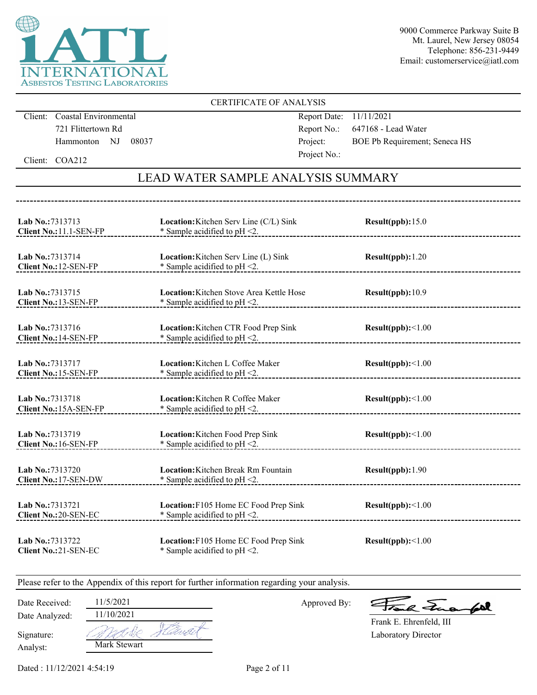

### CERTIFICATE OF ANALYSIS

Client: Coastal Environmental 721 Flittertown Rd Hammonton NJ 08037 Report Date: 11/11/2021 Report No.: 647168 - Lead Water Project: BOE Pb Requirement; Seneca HS Project No.:

Client: COA212

## LEAD WATER SAMPLE ANALYSIS SUMMARY

| Lab No.: 7313713                               | Location: Kitchen Serv Line (C/L) Sink                                    | Result(ppb): 15.0 |
|------------------------------------------------|---------------------------------------------------------------------------|-------------------|
| Client No.: 11.1-SEN-FP                        | * Sample acidified to $pH < 2$ .                                          |                   |
| Lab No.: 7313714                               | Location: Kitchen Serv Line (L) Sink                                      | Result(ppb): 1.20 |
| Client No.: 12-SEN-FP                          | * Sample acidified to $pH < 2$ .                                          |                   |
| Lab No.:7313715                                | <b>Location:</b> Kitchen Stove Area Kettle Hose                           | Result(ppb):10.9  |
| <b>Client No.: 13-SEN-FP</b>                   | * Sample acidified to $pH < 2$ .                                          |                   |
| Lab No.:7313716<br>Client No.: 14-SEN-FP       | Location: Kitchen CTR Food Prep Sink<br>* Sample acidified to $pH < 2$ .  | Result(ppb):<1.00 |
| Lab No.:7313717                                | Location: Kitchen L Coffee Maker                                          | Result(ppb):<1.00 |
| Client No.: 15-SEN-FP                          | * Sample acidified to pH <2.                                              |                   |
| Lab No.: 7313718                               | Location: Kitchen R Coffee Maker                                          | Result(ppb):<1.00 |
| Client No.: 15A-SEN-FP                         | * Sample acidified to pH <2.                                              |                   |
| Lab No.: 7313719                               | Location: Kitchen Food Prep Sink                                          | Result(ppb):<1.00 |
| Client No.: 16-SEN-FP                          | * Sample acidified to $pH < 2$ .                                          |                   |
| Lab No.:7313720                                | Location: Kitchen Break Rm Fountain                                       | Result(ppb):1.90  |
| Client No.: 17-SEN-DW                          | * Sample acidified to $pH < 2$ .                                          |                   |
| Lab No.:7313721<br><b>Client No.:20-SEN-EC</b> | Location: F105 Home EC Food Prep Sink<br>$*$ Sample acidified to pH <2.   | Result(ppb):<1.00 |
| Lab No.:7313722<br><b>Client No.:21-SEN-EC</b> | Location: F105 Home EC Food Prep Sink<br>* Sample acidified to $pH < 2$ . | Result(ppb):<1.00 |

Please refer to the Appendix of this report for further information regarding your analysis.

Date Received: 11/5/2021

Date Analyzed:

Approved By:

a Jua fol

Laboratory Director Frank E. Ehrenfeld, III

Analyst: Signature:

| 11/10/2021   |  |
|--------------|--|
|              |  |
| Mark Stewart |  |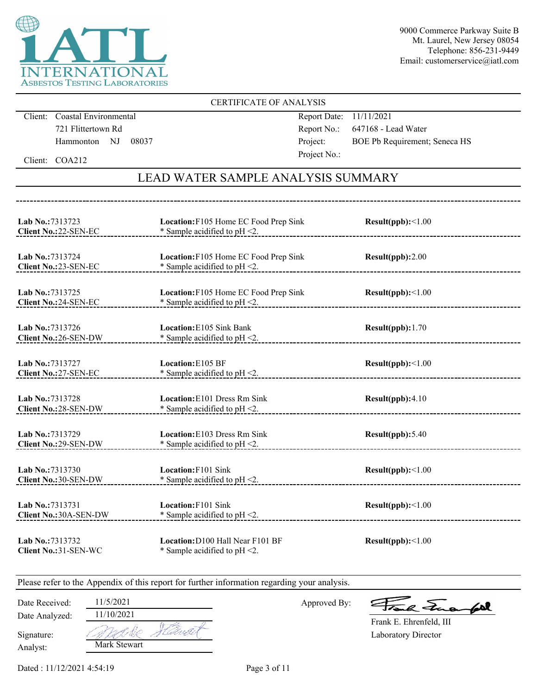

### CERTIFICATE OF ANALYSIS

Client: Coastal Environmental 721 Flittertown Rd Hammonton NJ 08037 Report Date: 11/11/2021 Report No.: 647168 - Lead Water Project: BOE Pb Requirement; Seneca HS Project No.:

Client: COA212

## LEAD WATER SAMPLE ANALYSIS SUMMARY

| Lab No.: 7313723<br>Client No.:22-SEN-EC       | Location: F105 Home EC Food Prep Sink<br>* Sample acidified to $pH < 2$ . | Result(ppb):<1.00 |
|------------------------------------------------|---------------------------------------------------------------------------|-------------------|
| Lab No.: 7313724<br>Client No.: 23-SEN-EC      | Location: F105 Home EC Food Prep Sink<br>* Sample acidified to $pH < 2$ . | Result(ppb):2.00  |
| Lab No.:7313725<br><b>Client No.:24-SEN-EC</b> | Location: F105 Home EC Food Prep Sink<br>* Sample acidified to $pH < 2$ . | Result(ppb):<1.00 |
| Lab No.:7313726<br>Client No.: 26-SEN-DW       | <b>Location:</b> E105 Sink Bank<br>* Sample acidified to $pH < 2$ .       | Result(ppb): 1.70 |
| Lab No.: 7313727<br>Client No.: 27-SEN-EC      | Location: E105 BF<br>$*$ Sample acidified to pH $\leq$ 2.                 | Result(ppb):<1.00 |
| Lab No.:7313728<br>Client No.: 28-SEN-DW       | Location: E101 Dress Rm Sink<br>* Sample acidified to pH <2.              | Result(ppb):4.10  |
| Lab No.:7313729<br>Client No.: 29-SEN-DW       | Location: E103 Dress Rm Sink<br>* Sample acidified to $pH < 2$ .          | Result(ppb): 5.40 |
| Lab No.:7313730<br>Client No.: 30-SEN-DW       | Location: F101 Sink<br>* Sample acidified to $pH < 2$ .                   | Result(ppb):<1.00 |
| Lab No.:7313731<br>Client No.: 30A-SEN-DW      | Location: F101 Sink<br>* Sample acidified to $pH < 2$ .                   | Result(ppb):<1.00 |
| Lab No.:7313732<br>Client No.: 31-SEN-WC       | Location: D100 Hall Near F101 BF<br>* Sample acidified to $pH < 2$ .      | Result(ppb):<1.00 |

Please refer to the Appendix of this report for further information regarding your analysis.

Date Received: 11/5/2021

Date Analyzed:

Approved By:

a Lua  $\mathcal{L}$ 

Laboratory Director Frank E. Ehrenfeld, III

Analyst: Signature: 11/10/2021 AN S Mark Stewart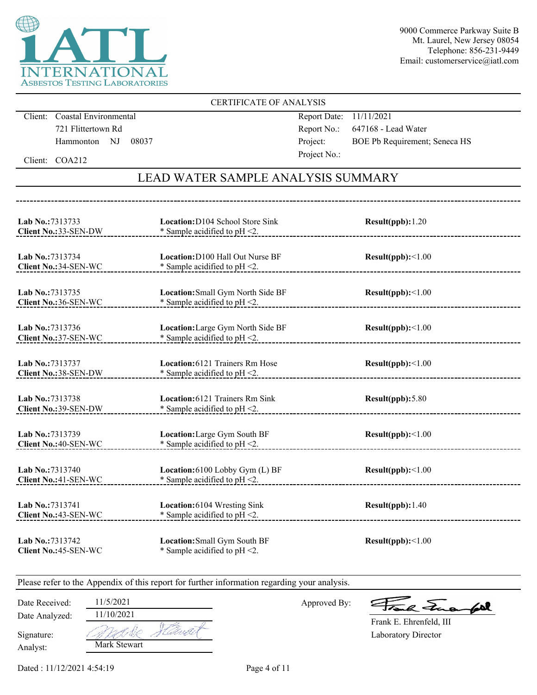

### CERTIFICATE OF ANALYSIS

Client: Coastal Environmental 721 Flittertown Rd Hammonton NJ 08037 Report Date: 11/11/2021 Report No.: 647168 - Lead Water Project: BOE Pb Requirement; Seneca HS Project No.:

Client: COA212

## LEAD WATER SAMPLE ANALYSIS SUMMARY

| Lab No.:7313733<br>Client No.: 33-SEN-DW       | Location: D104 School Store Sink<br>* Sample acidified to pH <2.            | Result(ppb): 1.20        |
|------------------------------------------------|-----------------------------------------------------------------------------|--------------------------|
| Lab No.:7313734<br>Client No.: 34-SEN-WC       | <b>Location: D100 Hall Out Nurse BF</b><br>* Sample acidified to $pH < 2$ . | Result(ppb):<1.00        |
| Lab No.: 7313735<br>Client No.:36-SEN-WC       | Location: Small Gym North Side BF<br>* Sample acidified to $pH < 2$ .       | Result(ppb):<1.00        |
| Lab No.:7313736<br>Client No.: 37-SEN-WC       | Location: Large Gym North Side BF<br>* Sample acidified to $pH < 2$ .       | Result(ppb):<1.00        |
| <b>Lab No.:7313737</b><br>Client No.:38-SEN-DW | Location: 6121 Trainers Rm Hose<br>* Sample acidified to pH <2.             | Result(ppb):<1.00        |
| Lab No.:7313738<br>Client No.:39-SEN-DW        | Location: 6121 Trainers Rm Sink<br>* Sample acidified to $pH < 2$ .         | Result(ppb): 5.80        |
| Lab No.: 7313739<br>Client No.: 40-SEN-WC      | Location: Large Gym South BF<br>* Sample acidified to pH <2.                | Result(ppb):<1.00        |
| Lab No.:7313740<br>Client No.: 41-SEN-WC       | Location: 6100 Lobby Gym (L) BF<br>* Sample acidified to pH <2.             | $Result(ppb): \leq 1.00$ |
| Lab No.:7313741<br>Client No.: 43-SEN-WC       | Location: 6104 Wresting Sink<br>* Sample acidified to pH <2.                | Result(ppb): 1.40        |
| Lab No.: 7313742<br>Client No.: 45-SEN-WC      | Location: Small Gym South BF<br>* Sample acidified to $pH < 2$ .            | Result(ppb):<1.00        |

Please refer to the Appendix of this report for further information regarding your analysis.

Date Received: 11/5/2021

Date Analyzed:

Approved By:

a Jua for

Laboratory Director Frank E. Ehrenfeld, III

Analyst: Signature: 11/10/2021 AN S Mark Stewart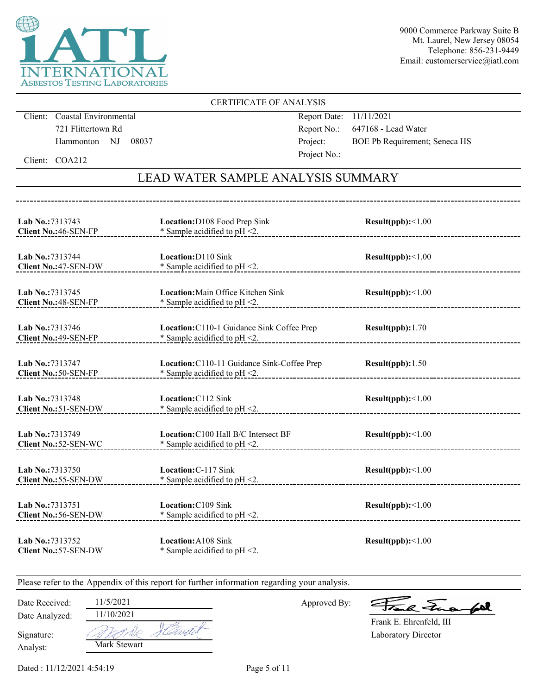

### CERTIFICATE OF ANALYSIS

Client: Coastal Environmental 721 Flittertown Rd Hammonton NJ 08037 Report Date: 11/11/2021 Report No.: 647168 - Lead Water Project: BOE Pb Requirement; Seneca HS Project No.:

Client: COA212

## LEAD WATER SAMPLE ANALYSIS SUMMARY

| Lab No.:7313743<br>Client No.: 46-SEN-FP        | Location: D108 Food Prep Sink<br>* Sample acidified to $pH < 2$ .               | Result(ppb):<1.00 |
|-------------------------------------------------|---------------------------------------------------------------------------------|-------------------|
| Lab No.:7313744<br>Client No.: 47-SEN-DW        | Location: D110 Sink<br>* Sample acidified to $pH < 2$ .                         | Result(ppb):<1.00 |
| Lab No.:7313745<br>Client No.: 48-SEN-FP        | <b>Location:</b> Main Office Kitchen Sink<br>* Sample acidified to $pH < 2$ .   | Result(ppb):<1.00 |
| Lab No.:7313746<br>Client No.: 49-SEN-FP        | Location: C110-1 Guidance Sink Coffee Prep<br>* Sample acidified to $pH < 2$ .  | Result(ppb):1.70  |
| Lab No.:7313747<br>Client No.: 50-SEN-FP        | Location: C110-11 Guidance Sink-Coffee Prep<br>* Sample acidified to $pH < 2$ . | Result(ppb): 1.50 |
| Lab No.: 7313748<br><b>Client No.:51-SEN-DW</b> | Location: C112 Sink<br>* Sample acidified to pH <2.                             | Result(ppb):<1.00 |
| Lab No.: 7313749<br>Client No.: 52-SEN-WC       | Location: C100 Hall B/C Intersect BF<br>* Sample acidified to $pH < 2$ .        | Result(ppb):<1.00 |
| Lab No.:7313750<br>Client No.: 55-SEN-DW        | Location: C-117 Sink<br>$*$ Sample acidified to pH <2.                          | Result(ppb):<1.00 |
| Lab No.:7313751<br>Client No.: 56-SEN-DW        | Location: C109 Sink<br>* Sample acidified to pH <2.                             | Result(ppb):<1.00 |
| Lab No.:7313752<br>Client No.: 57-SEN-DW        | Location: A108 Sink<br>* Sample acidified to $pH < 2$ .                         | Result(ppb):<1.00 |

Please refer to the Appendix of this report for further information regarding your analysis.

Date Received: 11/5/2021

Date Analyzed:

Approved By:

a Frank

Laboratory Director Frank E. Ehrenfeld, III

Analyst: Signature:

| Mark Stewart |  |
|--------------|--|

11/10/2021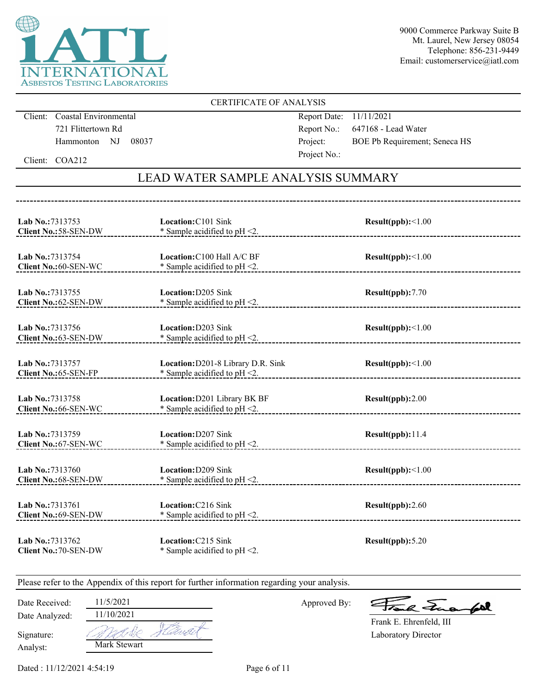

### CERTIFICATE OF ANALYSIS

Client: Coastal Environmental 721 Flittertown Rd Hammonton NJ 08037 Report Date: 11/11/2021 Report No.: 647168 - Lead Water Project: BOE Pb Requirement; Seneca HS Project No.:

Client: COA212

## LEAD WATER SAMPLE ANALYSIS SUMMARY

| Lab No.:7313753<br>Client No.: 58-SEN-DW  | Location: C101 Sink<br>* Sample acidified to $pH < 2$ .                   | Result(ppb):<1.00        |
|-------------------------------------------|---------------------------------------------------------------------------|--------------------------|
| Lab No.:7313754<br>Client No.: 60-SEN-WC  | Location: C100 Hall A/C BF<br>* Sample acidified to $pH < 2$ .            | $Result(ppb): \leq 1.00$ |
| Lab No.:7313755<br>Client No.: 62-SEN-DW  | <b>Location:</b> D205 Sink<br>* Sample acidified to $pH < 2$ .            | Result(ppb):7.70         |
| Lab No.:7313756<br>Client No.:63-SEN-DW   | Location: D203 Sink<br>* Sample acidified to $pH < 2$ .                   | Result(ppb):<1.00        |
| Lab No.: 7313757<br>Client No.:65-SEN-FP  | Location: D201-8 Library D.R. Sink<br>$*$ Sample acidified to pH $\leq$ . | Result(ppb):<1.00        |
| Lab No.: 7313758<br>Client No.:66-SEN-WC  | Location: D201 Library BK BF<br>* Sample acidified to pH <2.              | Result(ppb):2.00         |
| Lab No.:7313759<br>Client No.: 67-SEN-WC  | Location: D207 Sink<br>* Sample acidified to $pH < 2$ .                   | Result(ppb):11.4         |
| Lab No.: 7313760<br>Client No.:68-SEN-DW  | Location: D209 Sink<br>* Sample acidified to pH <2.                       | $Result(ppb): \leq 1.00$ |
| Lab No.: 7313761<br>Client No.: 69-SEN-DW | Location: C216 Sink<br>* Sample acidified to $pH < 2$ .                   | Result(ppb):2.60         |
| Lab No.:7313762<br>Client No.: 70-SEN-DW  | Location: C215 Sink<br>* Sample acidified to $pH < 2$ .                   | Result(ppb): 5.20        |

Please refer to the Appendix of this report for further information regarding your analysis.

Date Received: 11/5/2021

Date Analyzed:

Approved By:

a Frank

Laboratory Director Frank E. Ehrenfeld, III

Analyst: Signature:

| 11/10/2021   |  |
|--------------|--|
|              |  |
| Mark Stewart |  |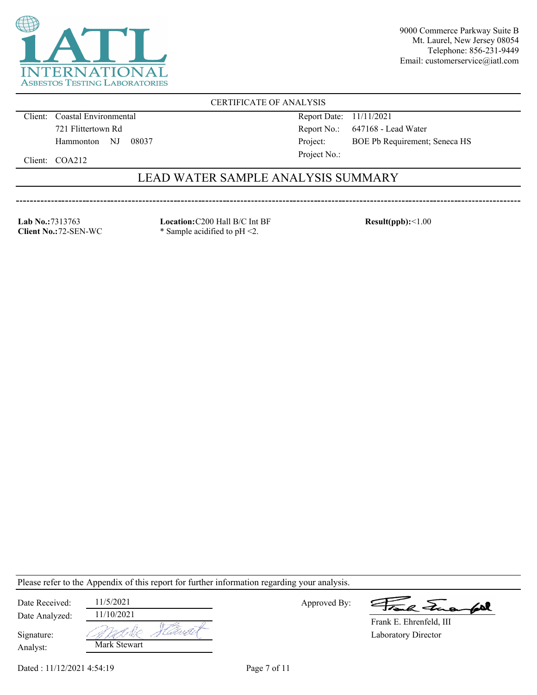

CERTIFICATE OF ANALYSIS

Client: Coastal Environmental 721 Flittertown Rd Hammonton NJ 08037 Report Date: 11/11/2021 Report No.: 647168 - Lead Water Project: BOE Pb Requirement; Seneca HS

Client: COA212

## LEAD WATER SAMPLE ANALYSIS SUMMARY

Project No.:

**Lab No.:**7313763 **Client No.:**72-SEN-WC **Location:**C200 Hall B/C Int BF \* Sample acidified to pH <2.

**Result(ppb):**<1.00

Please refer to the Appendix of this report for further information regarding your analysis.

| Date Received: | 11/5/2021    |      |
|----------------|--------------|------|
| Date Analyzed: | 11/10/2021   |      |
| Signature:     |              | إموا |
| Analyst:       | Mark Stewart |      |

Approved By:

a Jua fol

Laboratory Director Frank E. Ehrenfeld, III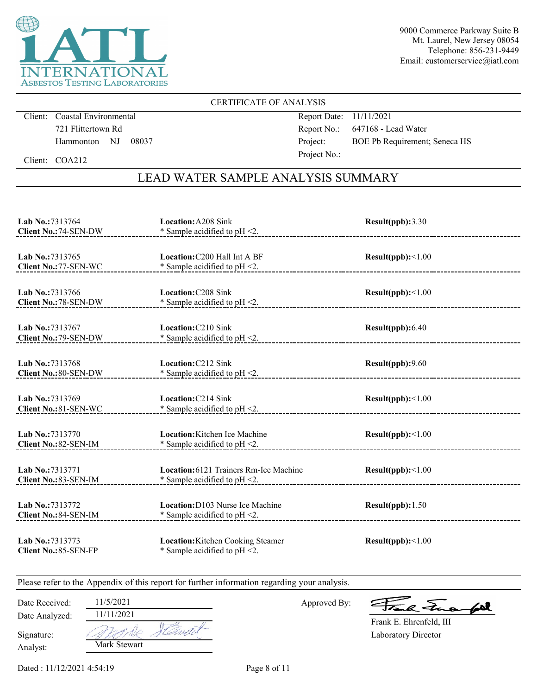

### CERTIFICATE OF ANALYSIS

Client: Coastal Environmental 721 Flittertown Rd Hammonton NJ 08037 Report Date: 11/11/2021 Report No.: 647168 - Lead Water Project: BOE Pb Requirement; Seneca HS Project No.:

Client: COA212

## LEAD WATER SAMPLE ANALYSIS SUMMARY

| Lab No.:7313764<br>Client No.: 74-SEN-DW  | <b>Location:</b> A208 Sink<br>* Sample acidified to pH <2.                 | Result(ppb):3.30         |
|-------------------------------------------|----------------------------------------------------------------------------|--------------------------|
| Lab No.:7313765<br>Client No.: 77-SEN-WC  | Location: C200 Hall Int A BF<br>* Sample acidified to $pH < 2$ .           | Result(ppb):<1.00        |
| Lab No.:7313766<br>Client No.: 78-SEN-DW  | <b>Location: C208 Sink</b><br>* Sample acidified to pH <2.                 | Result(ppb):<1.00        |
| Lab No.:7313767<br>Client No.: 79-SEN-DW  | Location: C210 Sink<br>* Sample acidified to $pH < 2$ .                    | Result(ppb): 6.40        |
| Lab No.: 7313768<br>Client No.: 80-SEN-DW | Location: C212 Sink<br>* Sample acidified to $pH < 2$ .                    | Result(ppb):9.60         |
| Lab No.: 7313769<br>Client No.: 81-SEN-WC | Location: C214 Sink<br>* Sample acidified to pH <2.                        | Result(ppb):<1.00        |
| Lab No.:7313770<br>Client No.: 82-SEN-IM  | Location: Kitchen Ice Machine<br>* Sample acidified to pH <2.              | Result(ppb):<1.00        |
| Lab No.:7313771<br>Client No.:83-SEN-IM   | Location: 6121 Trainers Rm-Ice Machine<br>* Sample acidified to $pH < 2$ . | $Result(ppb): \leq 1.00$ |
| Lab No.: 7313772<br>Client No.: 84-SEN-IM | Location: D103 Nurse Ice Machine<br>* Sample acidified to $pH < 2$ .       | Result(ppb): 1.50        |
| Lab No.: 7313773<br>Client No.: 85-SEN-FP | Location: Kitchen Cooking Steamer<br>* Sample acidified to $pH < 2$ .      | Result(ppb):<1.00        |

Please refer to the Appendix of this report for further information regarding your analysis.

Approved By:

a Jua for

Laboratory Director Frank E. Ehrenfeld, III

Analyst: Signature:

Date Analyzed:

11/11/2021 A NE 4 Mark Stewart

Date Received: 11/5/2021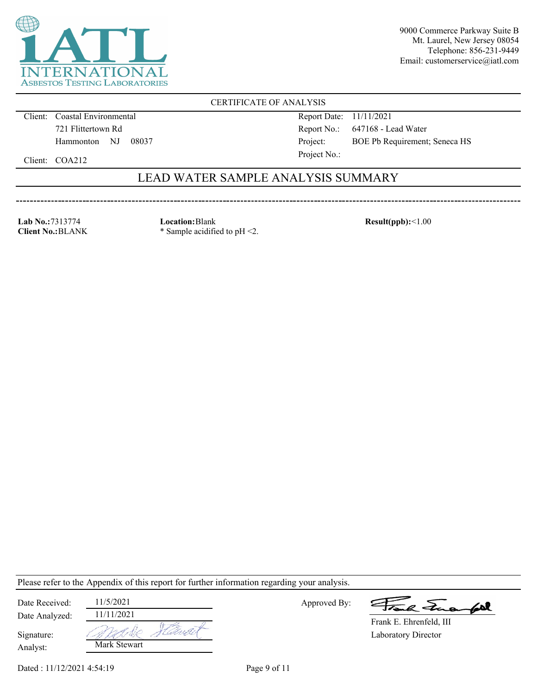

CERTIFICATE OF ANALYSIS

Client: Coastal Environmental 721 Flittertown Rd Hammonton NJ 08037 Report Date: 11/11/2021 Report No.: 647168 - Lead Water Project: BOE Pb Requirement; Seneca HS Project No.:

Client: COA212

## LEAD WATER SAMPLE ANALYSIS SUMMARY

**Lab No.:**7313774 **Client No.:**BLANK **Location:**Blank \* Sample acidified to pH <2. **Result(ppb):**<1.00

Please refer to the Appendix of this report for further information regarding your analysis.

| Date Received: | 11/5/2021    |
|----------------|--------------|
| Date Analyzed: | 11/11/2021   |
| Signature:     |              |
| Analyst:       | Mark Stewart |

Approved By:

a Juan 602

Laboratory Director Frank E. Ehrenfeld, III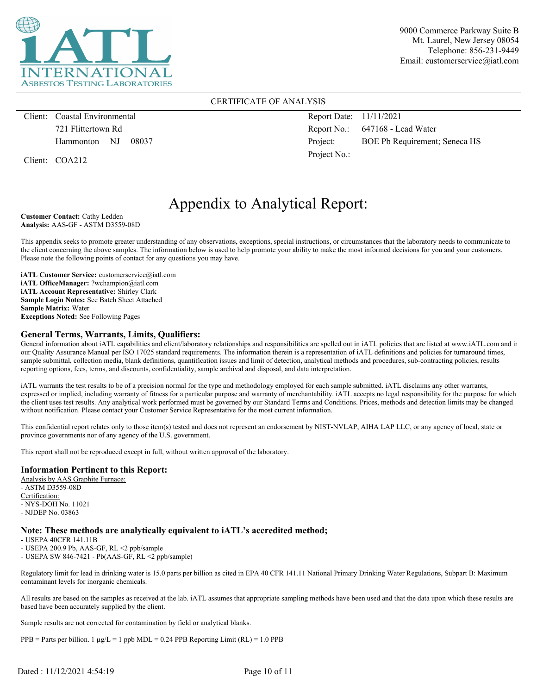

#### CERTIFICATE OF ANALYSIS

Client: Coastal Environmental 721 Flittertown Rd Hammonton NJ 08037

Client: COA212

Report Date: 11/11/2021 Report No.: 647168 - Lead Water Project: BOE Pb Requirement; Seneca HS Project No.:

# Appendix to Analytical Report:

**Customer Contact:** Cathy Ledden **Analysis:** AAS-GF - ASTM D3559-08D

This appendix seeks to promote greater understanding of any observations, exceptions, special instructions, or circumstances that the laboratory needs to communicate to the client concerning the above samples. The information below is used to help promote your ability to make the most informed decisions for you and your customers. Please note the following points of contact for any questions you may have.

**iATL Customer Service:** customerservice@iatl.com **iATL OfficeManager:** ?wchampion@iatl.com **iATL Account Representative:** Shirley Clark **Sample Login Notes:** See Batch Sheet Attached **Sample Matrix:** Water **Exceptions Noted:** See Following Pages

#### **General Terms, Warrants, Limits, Qualifiers:**

General information about iATL capabilities and client/laboratory relationships and responsibilities are spelled out in iATL policies that are listed at www.iATL.com and in our Quality Assurance Manual per ISO 17025 standard requirements. The information therein is a representation of iATL definitions and policies for turnaround times, sample submittal, collection media, blank definitions, quantification issues and limit of detection, analytical methods and procedures, sub-contracting policies, results reporting options, fees, terms, and discounts, confidentiality, sample archival and disposal, and data interpretation.

iATL warrants the test results to be of a precision normal for the type and methodology employed for each sample submitted. iATL disclaims any other warrants, expressed or implied, including warranty of fitness for a particular purpose and warranty of merchantability. iATL accepts no legal responsibility for the purpose for which the client uses test results. Any analytical work performed must be governed by our Standard Terms and Conditions. Prices, methods and detection limits may be changed without notification. Please contact your Customer Service Representative for the most current information.

This confidential report relates only to those item(s) tested and does not represent an endorsement by NIST-NVLAP, AIHA LAP LLC, or any agency of local, state or province governments nor of any agency of the U.S. government.

This report shall not be reproduced except in full, without written approval of the laboratory.

#### **Information Pertinent to this Report:**

Analysis by AAS Graphite Furnace: - ASTM D3559-08D Certification: - NYS-DOH No. 11021 - NJDEP No. 03863

#### **Note: These methods are analytically equivalent to iATL's accredited method;**

- USEPA 40CFR 141.11B

- USEPA 200.9 Pb, AAS-GF, RL <2 ppb/sample

- USEPA SW 846-7421 - Pb(AAS-GF, RL <2 ppb/sample)

Regulatory limit for lead in drinking water is 15.0 parts per billion as cited in EPA 40 CFR 141.11 National Primary Drinking Water Regulations, Subpart B: Maximum contaminant levels for inorganic chemicals.

All results are based on the samples as received at the lab. iATL assumes that appropriate sampling methods have been used and that the data upon which these results are based have been accurately supplied by the client.

Sample results are not corrected for contamination by field or analytical blanks.

PPB = Parts per billion. 1  $\mu$ g/L = 1 ppb MDL = 0.24 PPB Reporting Limit (RL) = 1.0 PPB